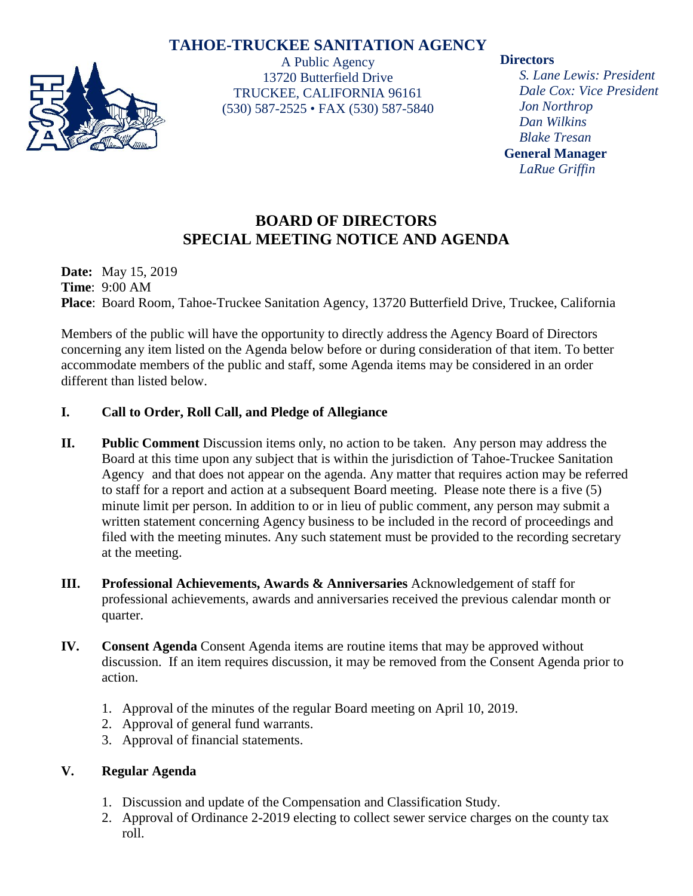# **TAHOE-TRUCKEE SANITATION AGENCY**



A Public Agency 13720 Butterfield Drive TRUCKEE, CALIFORNIA 96161 (530) 587-2525 • FAX (530) 587-5840

## **Directors**

*S. Lane Lewis: President Dale Cox: Vice President Jon Northrop Dan Wilkins Blake Tresan* **General Manager** *LaRue Griffin*

# **BOARD OF DIRECTORS SPECIAL MEETING NOTICE AND AGENDA**

**Date:** May 15, 2019 **Time**: 9:00 AM **Place**: Board Room, Tahoe-Truckee Sanitation Agency, 13720 Butterfield Drive, Truckee, California

Members of the public will have the opportunity to directly address the Agency Board of Directors concerning any item listed on the Agenda below before or during consideration of that item. To better accommodate members of the public and staff, some Agenda items may be considered in an order different than listed below.

# **I. Call to Order, Roll Call, and Pledge of Allegiance**

- **II. Public Comment** Discussion items only, no action to be taken. Any person may address the Board at this time upon any subject that is within the jurisdiction of Tahoe-Truckee Sanitation Agency and that does not appear on the agenda. Any matter that requires action may be referred to staff for a report and action at a subsequent Board meeting. Please note there is a five (5) minute limit per person. In addition to or in lieu of public comment, any person may submit a written statement concerning Agency business to be included in the record of proceedings and filed with the meeting minutes. Any such statement must be provided to the recording secretary at the meeting.
- **III. Professional Achievements, Awards & Anniversaries** Acknowledgement of staff for professional achievements, awards and anniversaries received the previous calendar month or quarter.
- **IV. Consent Agenda** Consent Agenda items are routine items that may be approved without discussion. If an item requires discussion, it may be removed from the Consent Agenda prior to action.
	- 1. Approval of the minutes of the regular Board meeting on April 10, 2019.
	- 2. Approval of general fund warrants.
	- 3. Approval of financial statements.

# **V. Regular Agenda**

- 1. Discussion and update of the Compensation and Classification Study.
- 2. Approval of Ordinance 2-2019 electing to collect sewer service charges on the county tax roll.